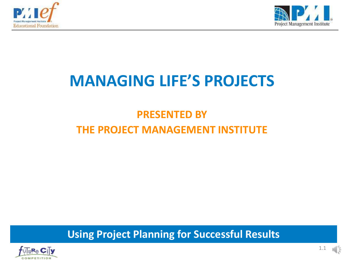



### **MANAGING LIFE'S PROJECTS**

### **PRESENTED BY THE PROJECT MANAGEMENT INSTITUTE**

**Using Project Planning for Successful Results**

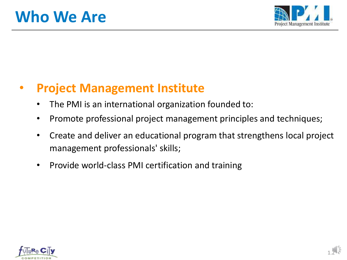

### • **Project Management Institute**

- The PMI is an international organization founded to:
- Promote professional project management principles and techniques;
- Create and deliver an educational program that strengthens local project management professionals' skills;
- Provide world-class PMI certification and training

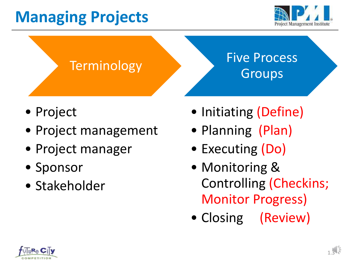# **Managing Projects**



### **Terminology**

### Five Process Groups

- Project
- Project management
- Project manager
- Sponsor
- Stakeholder
- Initiating (Define)
- Planning (Plan)
- Executing (Do)
- Monitoring & Controlling (Checkins; Monitor Progress)
- Closing (Review)

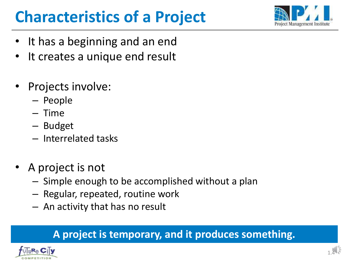# **Characteristics of a Project**



- It has a beginning and an end
- It creates a unique end result
- Projects involve:
	- People
	- Time
	- Budget
	- Interrelated tasks
- A project is not
	- Simple enough to be accomplished without a plan
	- Regular, repeated, routine work
	- An activity that has no result

### **A project is temporary, and it produces something.**

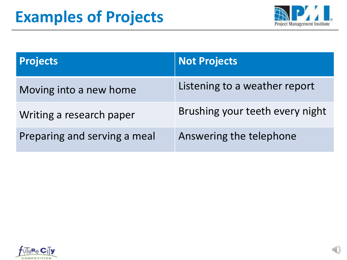

| <b>Projects</b>              | <b>Not Projects</b>             |
|------------------------------|---------------------------------|
| Moving into a new home       | Listening to a weather report   |
| Writing a research paper     | Brushing your teeth every night |
| Preparing and serving a meal | Answering the telephone         |

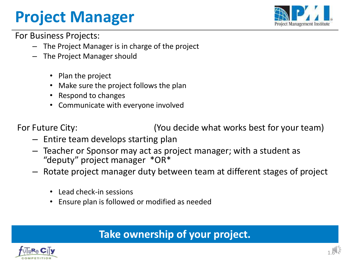## **Project Manager**



For Business Projects:

- The Project Manager is in charge of the project
- The Project Manager should
	- Plan the project
	- Make sure the project follows the plan
	- Respond to changes
	- Communicate with everyone involved

For Future City: (You decide what works best for your team)

- Entire team develops starting plan
- Teacher or Sponsor may act as project manager; with a student as "deputy" project manager \*OR\*
- Rotate project manager duty between team at different stages of project
	- Lead check-in sessions
	- Ensure plan is followed or modified as needed

#### **Take ownership of your project.**

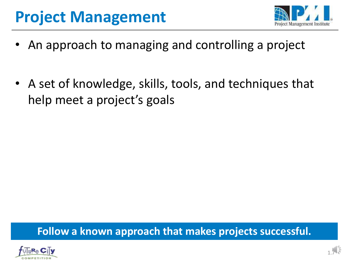## **Project Management**



- An approach to managing and controlling a project
- A set of knowledge, skills, tools, and techniques that help meet a project's goals

**Follow a known approach that makes projects successful.**

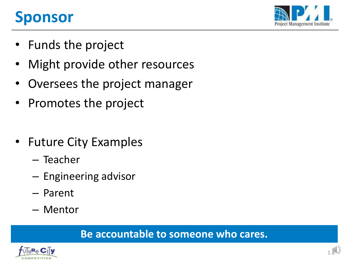## **Sponsor**



- Funds the project
- Might provide other resources
- Oversees the project manager
- Promotes the project
- Future City Examples
	- Teacher
	- Engineering advisor
	- Parent
	- Mentor

#### **Be accountable to someone who cares.**

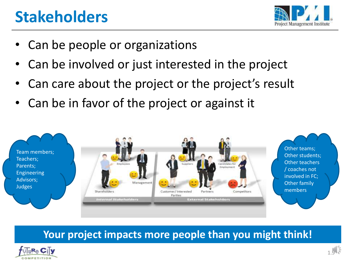## **Stakeholders**



- Can be people or organizations
- Can be involved or just interested in the project
- Can care about the project or the project's result
- Can be in favor of the project or against it



#### **Your project impacts more people than you might think!**

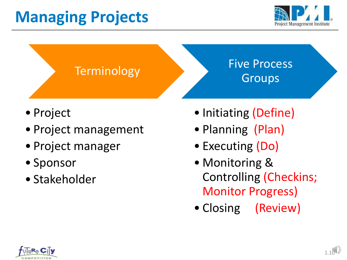# **Managing Projects**



### **Terminology**

### Five Process Groups

- Project
- Project management
- Project manager
- Sponsor
- Stakeholder
- Initiating (Define)
- Planning (Plan)
- Executing (Do)
- Monitoring & Controlling (Checkins; Monitor Progress)
- Closing (Review)

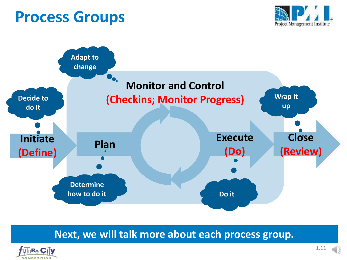### **Process Groups**





#### **Next, we will talk more about each process group.**

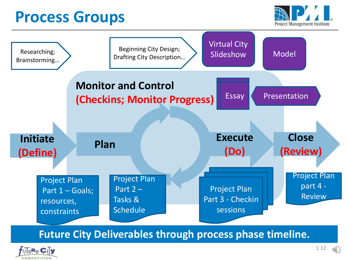### **Process Groups**





**Future City Deliverables through process phase timeline.**

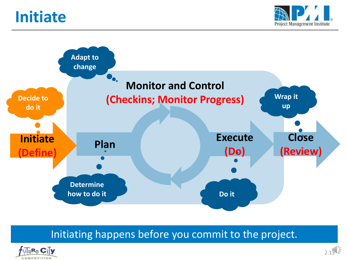### **Initiate**





#### Initiating happens before you commit to the project.

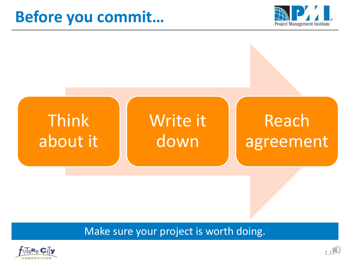### **Before you commit…**





#### Make sure your project is worth doing.

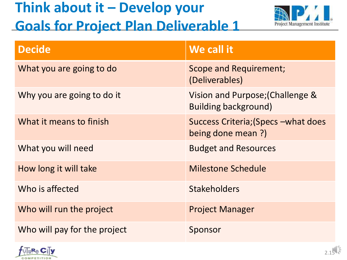### **Think about it – Develop your Goals for Project Plan Deliverable 1**



| <b>Decide</b>                | We call it                                                      |
|------------------------------|-----------------------------------------------------------------|
| What you are going to do     | <b>Scope and Requirement;</b><br>(Deliverables)                 |
| Why you are going to do it   | Vision and Purpose; (Challenge &<br><b>Building background)</b> |
| What it means to finish      | Success Criteria; (Specs - what does<br>being done mean ?)      |
| What you will need           | <b>Budget and Resources</b>                                     |
| How long it will take        | <b>Milestone Schedule</b>                                       |
| Who is affected              | <b>Stakeholders</b>                                             |
| Who will run the project     | <b>Project Manager</b>                                          |
| Who will pay for the project | Sponsor                                                         |

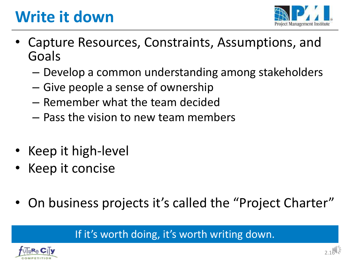# **Write it down**



- Capture Resources, Constraints, Assumptions, and Goals
	- Develop a common understanding among stakeholders
	- Give people a sense of ownership
	- Remember what the team decided
	- Pass the vision to new team members
- Keep it high-level
- Keep it concise
- On business projects it's called the "Project Charter"

If it's worth doing, it's worth writing down.

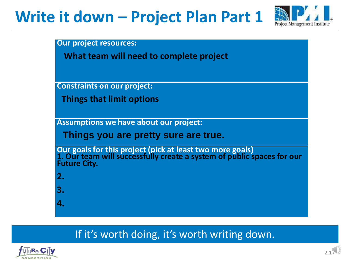## **Write it down – Project Plan Part 1**



**Our project resources:**

**What team will need to complete project**

**Constraints on our project:** 

**Things that limit options**

**Assumptions we have about our project:** 

**Things you are pretty sure are true.**

**Our goals for this project (pick at least two more goals) 1. Our team will successfully create a system of public spaces for our Future City.**

- **2.**
- **3.**
- **4.**

#### If it's worth doing, it's worth writing down.

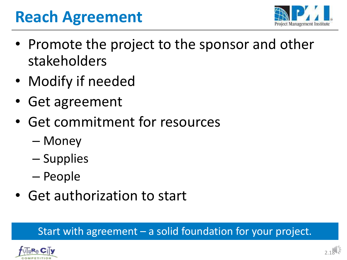## **Reach Agreement**



- Promote the project to the sponsor and other stakeholders
- Modify if needed
- Get agreement
- Get commitment for resources
	- Money
	- Supplies
	- People
- Get authorization to start

#### Start with agreement – a solid foundation for your project.

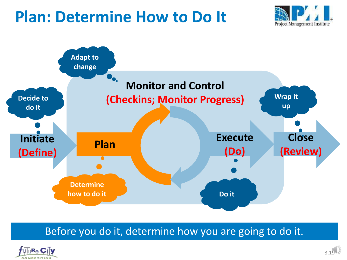### **Plan: Determine How to Do It**





Before you do it, determine how you are going to do it.

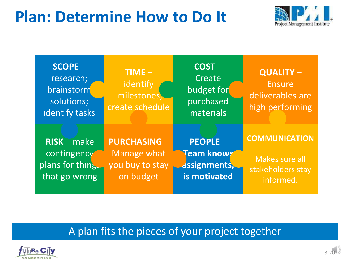### **Plan: Determine How to Do It**



| <b>SCOPE-</b><br>research;<br>brainstorm<br>solutions;<br>identify tasks | $TIME -$<br>identify<br>milestones,<br>create schedule | $COST -$<br>Create<br>budget for<br>purchased<br>materials | <b>QUALITY-</b><br><b>Ensure</b><br>deliverables are<br>high performing |  |  |
|--------------------------------------------------------------------------|--------------------------------------------------------|------------------------------------------------------------|-------------------------------------------------------------------------|--|--|
| $RISK - make$                                                            | <b>PURCHASING -</b>                                    | <b>PEOPLE-</b>                                             | <b>COMMUNICATION</b>                                                    |  |  |
| contingency                                                              | Manage what                                            | Team knows                                                 | Makes sure all                                                          |  |  |
| plans for thing.                                                         | you buy to stay                                        | <b>dssignments,</b>                                        | stakeholders stay                                                       |  |  |
| that go wrong                                                            | on budget                                              | is motivated                                               | informed.                                                               |  |  |

#### A plan fits the pieces of your project together

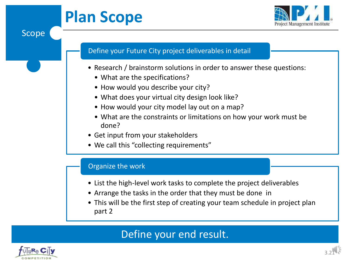# **Plan Scope**



#### Define your Future City project deliverables in detail

- Research / brainstorm solutions in order to answer these questions:
	- What are the specifications?
	- How would you describe your city?
	- What does your virtual city design look like?
	- How would your city model lay out on a map?
	- What are the constraints or limitations on how your work must be done?
- Get input from your stakeholders
- We call this "collecting requirements"

#### Organize the work

- List the high-level work tasks to complete the project deliverables
- Arrange the tasks in the order that they must be done in
- This will be the first step of creating your team schedule in project plan part 2

#### Define your end result.



Scope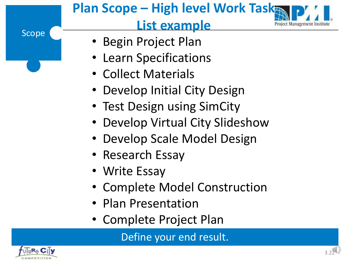### Scope **Plan Scope – High level Work Task List example** • Begin Project Plan • Learn Specifications • Collect Materials • Develop Initial City Design

- Test Design using SimCity
- Develop Virtual City Slideshow
- Develop Scale Model Design
- Research Essay
- Write Essay
- Complete Model Construction
- Plan Presentation
- Complete Project Plan

Define your end result.

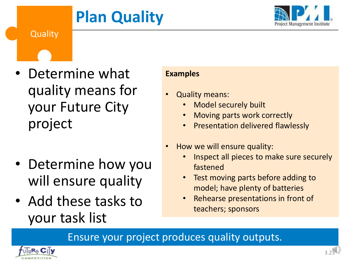# **Plan Quality**





- Determine what quality means for your Future City project
- Determine how you will ensure quality
- Add these tasks to your task list

#### **Examples**

- Quality means:
	- Model securely built
	- Moving parts work correctly
	- Presentation delivered flawlessly
- How we will ensure quality:
	- Inspect all pieces to make sure securely fastened
	- Test moving parts before adding to model; have plenty of batteries
	- Rehearse presentations in front of teachers; sponsors

Ensure your project produces quality outputs.

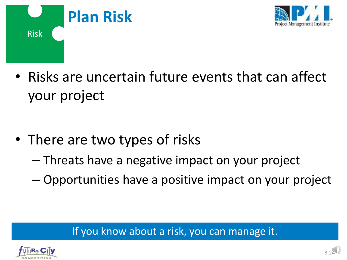



• Risks are uncertain future events that can affect your project

- There are two types of risks
	- Threats have a negative impact on your project
	- Opportunities have a positive impact on your project

#### If you know about a risk, you can manage it.

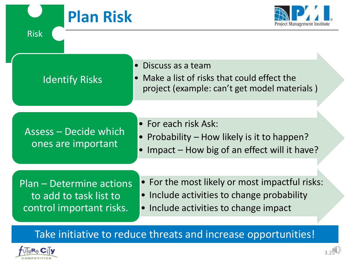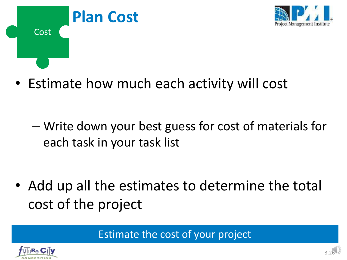

• Estimate how much each activity will cost

– Write down your best guess for cost of materials for each task in your task list

• Add up all the estimates to determine the total cost of the project

Estimate the cost of your project

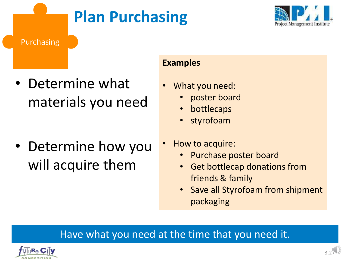# **Plan Purchasing**



Purchasing

• Determine what materials you need

• Determine how you will acquire them

#### **Examples**

- What you need:
	- poster board
	- **bottlecaps**
	- styrofoam
- How to acquire:
	- Purchase poster board
	- Get bottlecap donations from friends & family
	- Save all Styrofoam from shipment packaging

#### Have what you need at the time that you need it.

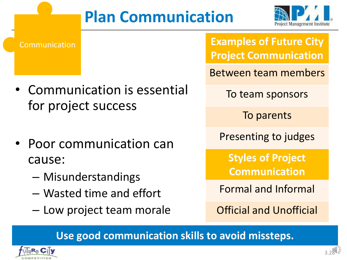# **Plan Communication**



- Communication is essential for project success
- Poor communication can cause:
	- Misunderstandings
	- Wasted time and effort
	- Low project team morale

Communication **Examples of Future City Project Communication**

Between team members

To team sponsors

To parents

Presenting to judges

**Styles of Project Communication**

Formal and Informal

Official and Unofficial

**Use good communication skills to avoid missteps.**

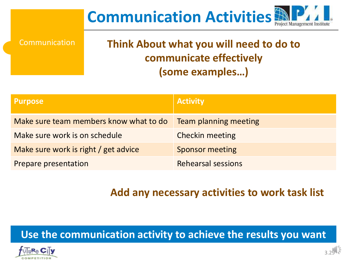# **Communication Activities**

Communication

### **Think About what you will need to do to communicate effectively (some examples…)**

| <b>Purpose</b>                         | <b>Activity</b>           |
|----------------------------------------|---------------------------|
| Make sure team members know what to do | Team planning meeting     |
| Make sure work is on schedule          | <b>Checkin meeting</b>    |
| Make sure work is right / get advice   | <b>Sponsor meeting</b>    |
| Prepare presentation                   | <b>Rehearsal sessions</b> |

#### **Add any necessary activities to work task list**

#### **Use the communication activity to achieve the results you want**

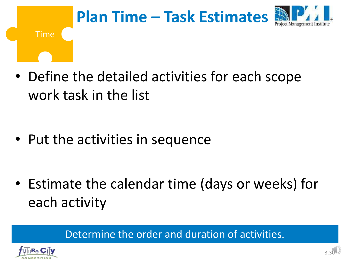

• Define the detailed activities for each scope work task in the list

• Put the activities in sequence

• Estimate the calendar time (days or weeks) for each activity

Determine the order and duration of activities.

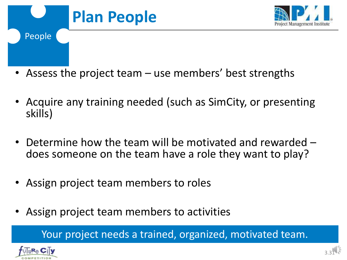

- Assess the project team use members' best strengths
- Acquire any training needed (such as SimCity, or presenting skills)
- Determine how the team will be motivated and rewarded does someone on the team have a role they want to play?
- Assign project team members to roles
- Assign project team members to activities

Your project needs a trained, organized, motivated team.

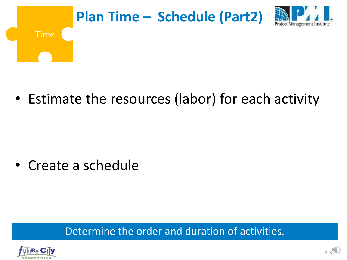

• Estimate the resources (labor) for each activity

• Create a schedule

Determine the order and duration of activities.

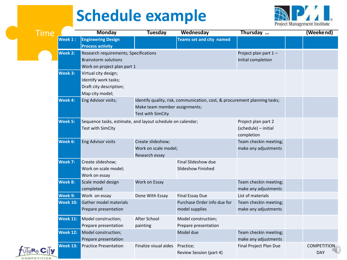# **Schedule example**



| Time |                 | <b>Monday</b>                                                                                       | <b>Tuesday</b>                                              | Wednesday                                                                  | Thursday                                                  | (Weekend)                        |
|------|-----------------|-----------------------------------------------------------------------------------------------------|-------------------------------------------------------------|----------------------------------------------------------------------------|-----------------------------------------------------------|----------------------------------|
|      | Week 1:         | <b>Engineering Design</b><br><b>Process activity</b>                                                |                                                             | Teams set and city named                                                   |                                                           |                                  |
|      | <b>Week 2:</b>  | Research requirements; Specifications<br><b>Brainstorm solutions</b><br>Work on project plan part 1 |                                                             |                                                                            | Project plan part 1-<br>Initial completion                |                                  |
|      | Week 3:         | Virtual city design;<br>Identify work tasks;<br>Draft city description;<br>Map city model;          |                                                             |                                                                            |                                                           |                                  |
|      | Week 4:         | Eng Advisor visits;                                                                                 | Make team member assignments;<br>Test with SimCity          | Identify quality, risk, communication, cost, & procurement planning tasks; |                                                           |                                  |
|      | Week 5:         | Sequence tasks, estimate, and layout schedule on calendar;<br>Test with SimCity                     |                                                             |                                                                            | Project plan part 2<br>(schedule) - initial<br>completion |                                  |
|      | Week 6:         | Eng Advisor visits                                                                                  | Create slideshow;<br>Work on scale model;<br>Research essay |                                                                            | Team checkin meeting;<br>make any adjustments             |                                  |
|      | Week 7:         | Create slideshow;<br>Work on scale model;<br>Work on essay                                          |                                                             | Final Slideshow due<br><b>Slideshow Finished</b>                           |                                                           |                                  |
|      | Week 8:         | Scale model design<br>completed                                                                     | Work on Essay                                               |                                                                            | Team checkin meeting;<br>make any adjustments             |                                  |
|      | Week 9:         | Work on essay                                                                                       | Done With Essay                                             | <b>Final Essay Due</b>                                                     | List of materials                                         |                                  |
|      | <b>Week 10:</b> | Gather model materials<br>Prepare presentation                                                      |                                                             | Purchase Order info due for<br>model supplies                              | Team checkin meeting;<br>make any adjustments             |                                  |
|      | <b>Week 11:</b> | Model construction;<br>Prepare presentation                                                         | After School<br>painting                                    | Model construction;<br>Prepare presentation                                |                                                           |                                  |
|      | <b>Week 12:</b> | Model construction;<br>Prepare presentation                                                         |                                                             | Model due                                                                  | Team checkin meeting;<br>make any adjustments             |                                  |
|      | <b>Week 13:</b> | <b>Practice Presentation</b>                                                                        | Finalize visual aides Practice;                             | Review Session (part 4)                                                    | Final Project Plan Due                                    | <b>COMPETITION</b><br><b>DAY</b> |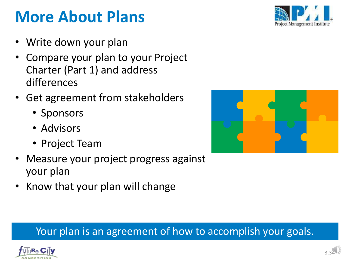

### Your plan is an agreement of how to accomplish your goals.



# **More About Plans**

- Write down your plan
- Compare your plan to your Project Charter (Part 1) and address differences
- Get agreement from stakeholders
	- Sponsors
	- Advisors
	- Project Team
- Measure your project progress against your plan
- Know that your plan will change



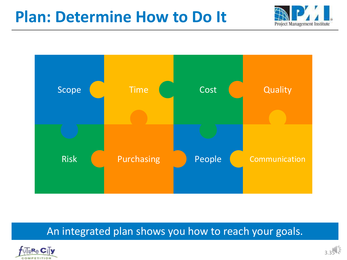### **Plan: Determine How to Do It**





#### An integrated plan shows you how to reach your goals.

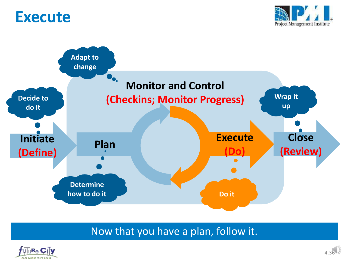### **Execute**





#### Now that you have a plan, follow it.

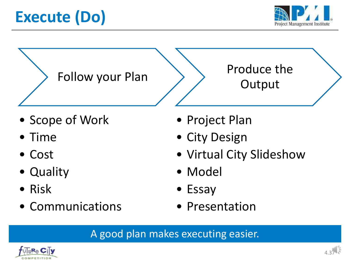# **Execute (Do)**



Follow your Plan

Produce the **Output** 

- Scope of Work
- Time
- Cost
- Quality
- Risk
- Communications
- Project Plan
- City Design
- Virtual City Slideshow
- Model
- Essay
- Presentation

A good plan makes executing easier.

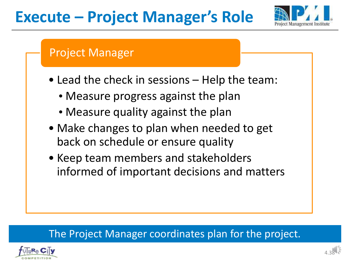## **Execute – Project Manager's Role**



### Project Manager

- Lead the check in sessions Help the team:
	- •Measure progress against the plan
	- Measure quality against the plan
- Make changes to plan when needed to get back on schedule or ensure quality
- Keep team members and stakeholders informed of important decisions and matters

#### The Project Manager coordinates plan for the project.

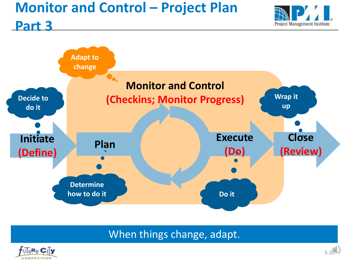### **Monitor and Control – Project Plan**





When things change, adapt.



**Part 3**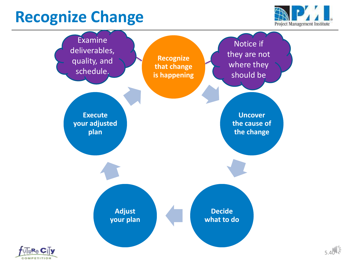## **Recognize Change**





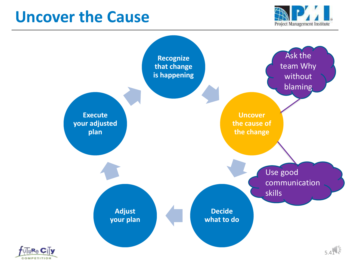### **Uncover the Cause**



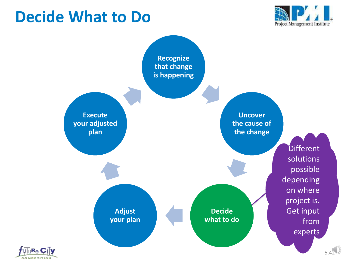### **Decide What to Do**



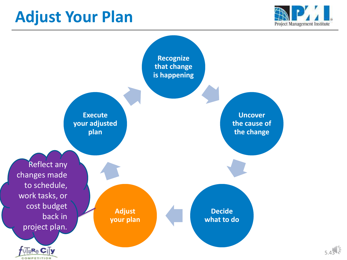### **Adjust Your Plan**



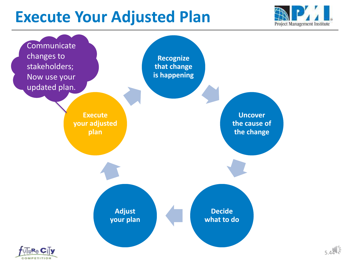## **Execute Your Adjusted Plan**



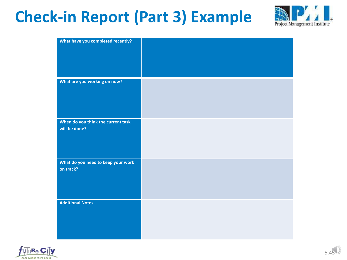## **Check-in Report (Part 3) Example**



| What have you completed recently?  |  |
|------------------------------------|--|
|                                    |  |
|                                    |  |
|                                    |  |
|                                    |  |
|                                    |  |
|                                    |  |
| What are you working on now?       |  |
|                                    |  |
|                                    |  |
|                                    |  |
|                                    |  |
|                                    |  |
| When do you think the current task |  |
| will be done?                      |  |
|                                    |  |
|                                    |  |
|                                    |  |
|                                    |  |
| What do you need to keep your work |  |
| on track?                          |  |
|                                    |  |
|                                    |  |
|                                    |  |
|                                    |  |
|                                    |  |
| <b>Additional Notes</b>            |  |
|                                    |  |
|                                    |  |
|                                    |  |
|                                    |  |
|                                    |  |

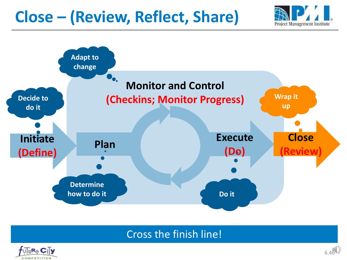## **Close – (Review, Reflect, Share)**





#### Cross the finish line!

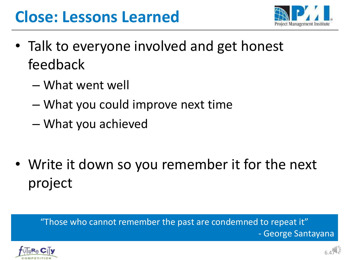## **Close: Lessons Learned**



- Talk to everyone involved and get honest feedback
	- What went well
	- What you could improve next time
	- What you achieved
- Write it down so you remember it for the next project

#### "Those who cannot remember the past are condemned to repeat it" - George Santayana

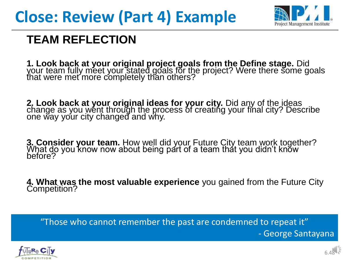

### **TEAM REFLECTION**

**1. Look back at your original project goals from the Define stage.** Did your team fully meet your stated goals for the project? Were there some goals that were met more completely than others?

**2. Look back at your original ideas for your city.** Did any of the ideas change as you went through the process of creating your final city? Describe one way your city changed and why.

**3. Consider your team.** How well did your Future City team work together? What do you know now about being part of a team that you didn't know before?

**4. What was the most valuable experience** you gained from the Future City Competition?

"Those who cannot remember the past are condemned to repeat it" - George Santayana

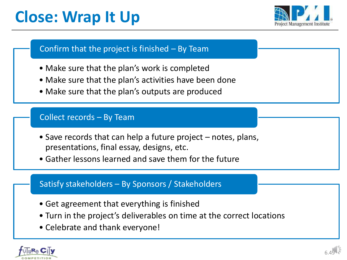# **Close: Wrap It Up**



#### Confirm that the project is finished – By Team

- Make sure that the plan's work is completed
- Make sure that the plan's activities have been done
- Make sure that the plan's outputs are produced

#### Collect records – By Team

- Save records that can help a future project notes, plans, presentations, final essay, designs, etc.
- Gather lessons learned and save them for the future

#### Satisfy stakeholders – By Sponsors / Stakeholders

- Get agreement that everything is finished
- Turn in the project's deliverables on time at the correct locations
- Celebrate and thank everyone!

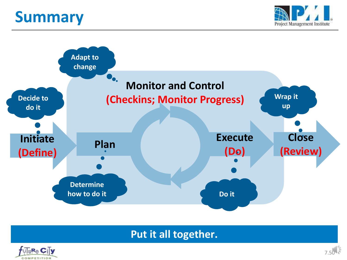## **Summary**





#### **Put it all together.**

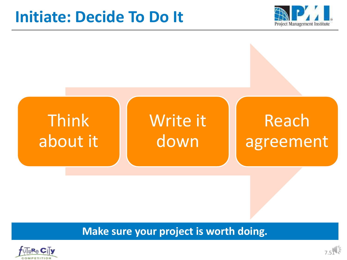### **Initiate: Decide To Do It**





#### **Make sure your project is worth doing.**

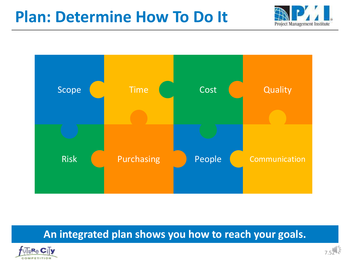### **Plan: Determine How To Do It**





#### **An integrated plan shows you how to reach your goals.**

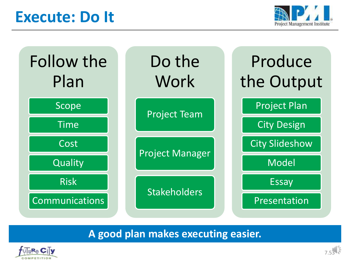### **Execute: Do It**





**A good plan makes executing easier.**

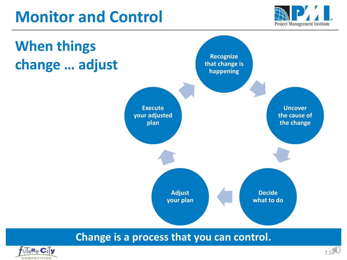## **Monitor and Control**